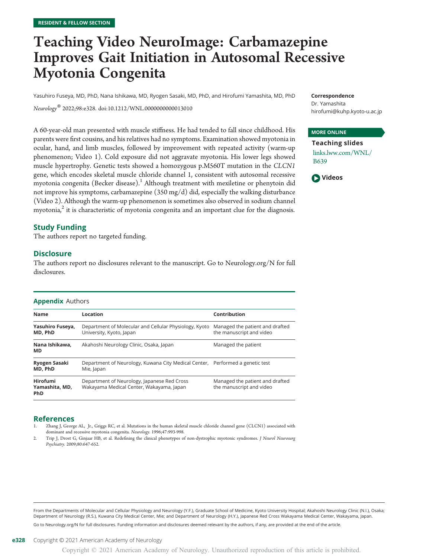# Teaching Video NeuroImage: Carbamazepine Improves Gait Initiation in Autosomal Recessive Myotonia Congenita

Yasuhiro Fuseya, MD, PhD, Nana Ishikawa, MD, Ryogen Sasaki, MD, PhD, and Hirofumi Yamashita, MD, PhD

Neurology® 2022;98:e328. doi[:10.1212/WNL.0000000000013010](http://dx.doi.org/10.1212/WNL.0000000000013010)

A 60-year-old man presented with muscle stiffness. He had tended to fall since childhood. His parents were first cousins, and his relatives had no symptoms. Examination showed myotonia in ocular, hand, and limb muscles, followed by improvement with repeated activity (warm-up phenomenon; Video 1). Cold exposure did not aggravate myotonia. His lower legs showed muscle hypertrophy. Genetic tests showed a homozygous p.M560T mutation in the CLCN1 gene, which encodes skeletal muscle chloride channel 1, consistent with autosomal recessive myotonia congenita (Becker disease).<sup>1</sup> Although treatment with mexiletine or phenytoin did not improve his symptoms, carbamazepine (350 mg/d) did, especially the walking disturbance (Video 2). Although the warm-up phenomenon is sometimes also observed in sodium channel myotonia, $^2$  it is characteristic of myotonia congenita and an important clue for the diagnosis.

## Study Funding

The authors report no targeted funding.

#### **Disclosure**

The authors report no disclosures relevant to the manuscript. Go to [Neurology.org/N](https://n.neurology.org/lookup/doi/10.1212/WNL.0000000000013010) for full disclosures.

#### Appendix Authors

| <b>Name</b>                                     | Location                                                                                    | Contribution                                                |
|-------------------------------------------------|---------------------------------------------------------------------------------------------|-------------------------------------------------------------|
| Yasuhiro Fuseya,<br>MD, PhD                     | Department of Molecular and Cellular Physiology, Kyoto<br>University, Kyoto, Japan          | Managed the patient and drafted<br>the manuscript and video |
| Nana Ishikawa.<br><b>MD</b>                     | Akahoshi Neurology Clinic, Osaka, Japan                                                     | Managed the patient                                         |
| Ryogen Sasaki<br>MD, PhD                        | Department of Neurology, Kuwana City Medical Center, Performed a genetic test<br>Mie, Japan |                                                             |
| <b>Hirofumi</b><br>Yamashita, MD,<br><b>PhD</b> | Department of Neurology, Japanese Red Cross<br>Wakayama Medical Center, Wakayama, Japan     | Managed the patient and drafted<br>the manuscript and video |

#### References

- 1. Zhang J, George AL, Jr., Griggs RC, et al. Mutations in the human skeletal muscle chloride channel gene (CLCN1) associated with dominant and recessive myotonia congenita. Neurology. 1996;47:993-998.
- Trip J, Drost G, Ginjaar HB, et al. Redefining the clinical phenotypes of non-dystrophic myotonic syndromes. J Neurol Neurosurg Psychiatry. 2009;80:647-652.

From the Departments of Molecular and Cellular Physiology and Neurology (Y.F.), Graduate School of Medicine, Kyoto University Hospital; Akahoshi Neurology Clinic (N.I.), Osaka; Department of Neurology (R.S.), Kuwana City Medical Center, Mie; and Department of Neurology (H.Y.), Japanese Red Cross Wakayama Medical Center, Wakayama, Japan. Go to [Neurology.org/N](https://n.neurology.org/lookup/doi/10.1212/WNL.0000000000013010) for full disclosures. Funding information and disclosures deemed relevant by the authors, if any, are provided at the end of the article.



### MORE ONLINE

Teaching slides [links.lww.com/WNL/](http://links.lww.com/WNL/B639) [B639](http://links.lww.com/WNL/B639)